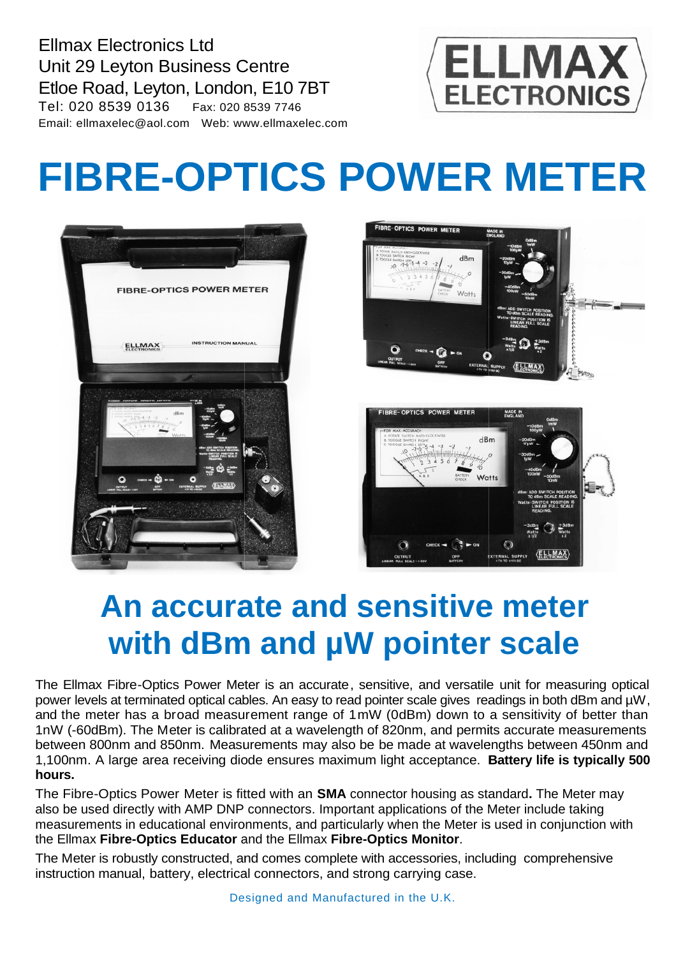Ellmax Electronics Ltd Unit 29 Leyton Business Centre Etloe Road, Leyton, London, E10 7BT Tel: 020 8539 0136 Fax: 020 8539 7746 Email: ellmaxelec@aol.com Web: www.ellmaxelec.com



## **FIBRE-OPTICS POWER METER OPTICS**





## **An accurate and sensitive meter with dBm and µ µW pointer scale**

The Ellmax Fibre-Optics Power Meter is an accurate, sensitive, and versatile power levels at terminated optical cables. An easy to read pointer scale gives readings in both dBm and  $\mu$ W, and the meter has a broad measurement range of 1 mW (0dBm) down to a sensitivity of better than 1nW (-60dBm). The Meter is calibrated at a wavelength of 820nm, and permits accurate measurements and the meter has a broad measurement range of 1mW (0dBm) down to a sensitivity of better than<br>1nW (-60dBm). The Meter is calibrated at a wavelength of 820nm, and permits accurate measurements<br>between 800nm and 850nm. Meas 1,100nm. A large area receiving diode ensures maximum light acceptance. **Battery life is typically 500 hours. An accurate and sensitive meter Scale**<br>
With dBm and µW pointer scale inti for measuring optical<br>
llmax Fibre-Optics Power Meter is an accurate, sensitive, and versatile unit for measuring optical<br>
levels at terminated op

The Fibre-Optics Power Meter is fitted with an **SMA** connector housing as standard connector **.** The Meter may also be used directly with AMP DNP connectors. Important applications of the Meter include taking measurements in educational environments, and particularly when the Meter is used in conjunction with the Ellmax **Fibre-Optics Educator** and the Ellmax **Fibre-Optics Monitor**.

The Meter is robustly constructed, and comes complete with accessories, including comprehensive instruction manual, battery, electrical connectors, and strong carrying case.

Designed and Manufactured in the U.K.